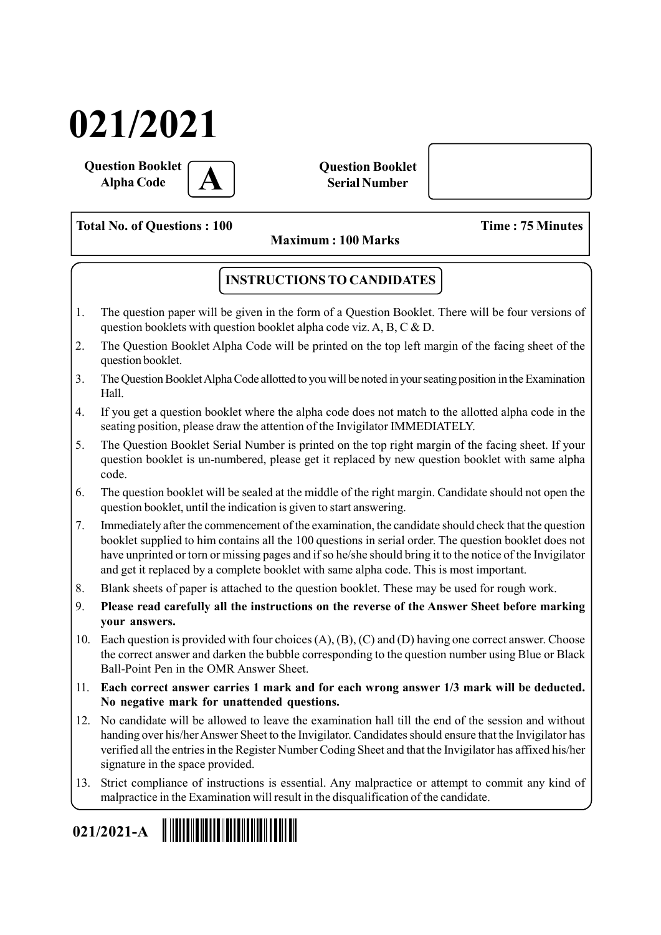# 021/2021

Question Booklet **Alpha Code** 



Question Booklet Serial Number

## Total No. of Ouestions : 100 Time : 75 Minutes

Maximum : 100 Marks

# INSTRUCTIONS TO CANDIDATES

- 1. The question paper will be given in the form of a Question Booklet. There will be four versions of question booklets with question booklet alpha code viz. A, B, C & D.
- 2. The Question Booklet Alpha Code will be printed on the top left margin of the facing sheet of the question booklet.
- 3. The Question Booklet Alpha Code allotted to you will be noted in your seating position in the Examination Hall.
- 4. If you get a question booklet where the alpha code does not match to the allotted alpha code in the seating position, please draw the attention of the Invigilator IMMEDIATELY.
- 5. The Question Booklet Serial Number is printed on the top right margin of the facing sheet. If your question booklet is un-numbered, please get it replaced by new question booklet with same alpha code.
- 6. The question booklet will be sealed at the middle of the right margin. Candidate should not open the question booklet, until the indication is given to start answering.
- 7. Immediately after the commencement of the examination, the candidate should check that the question booklet supplied to him contains all the 100 questions in serial order. The question booklet does not have unprinted or torn or missing pages and if so he/she should bring it to the notice of the Invigilator and get it replaced by a complete booklet with same alpha code. This is most important.
- 8. Blank sheets of paper is attached to the question booklet. These may be used for rough work.
- 9. Please read carefully all the instructions on the reverse of the Answer Sheet before marking your answers.
- 10. Each question is provided with four choices (A), (B), (C) and (D) having one correct answer. Choose the correct answer and darken the bubble corresponding to the question number using Blue or Black Ball-Point Pen in the OMR Answer Sheet.
- 11. Each correct answer carries 1 mark and for each wrong answer 1/3 mark will be deducted. No negative mark for unattended questions.
- 12. No candidate will be allowed to leave the examination hall till the end of the session and without handing over his/her Answer Sheet to the Invigilator. Candidates should ensure that the Invigilator has verified all the entries in the Register Number Coding Sheet and that the Invigilator has affixed his/her signature in the space provided.
- 13. Strict compliance of instructions is essential. Any malpractice or attempt to commit any kind of malpractice in the Examination will result in the disqualification of the candidate.

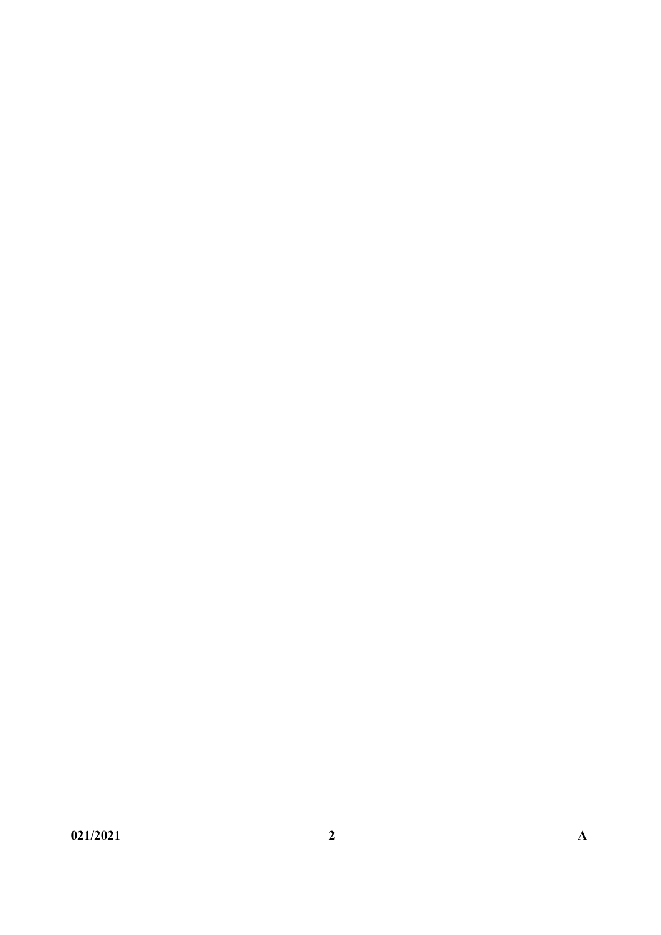$021/2021$  and  $2$  and  $4$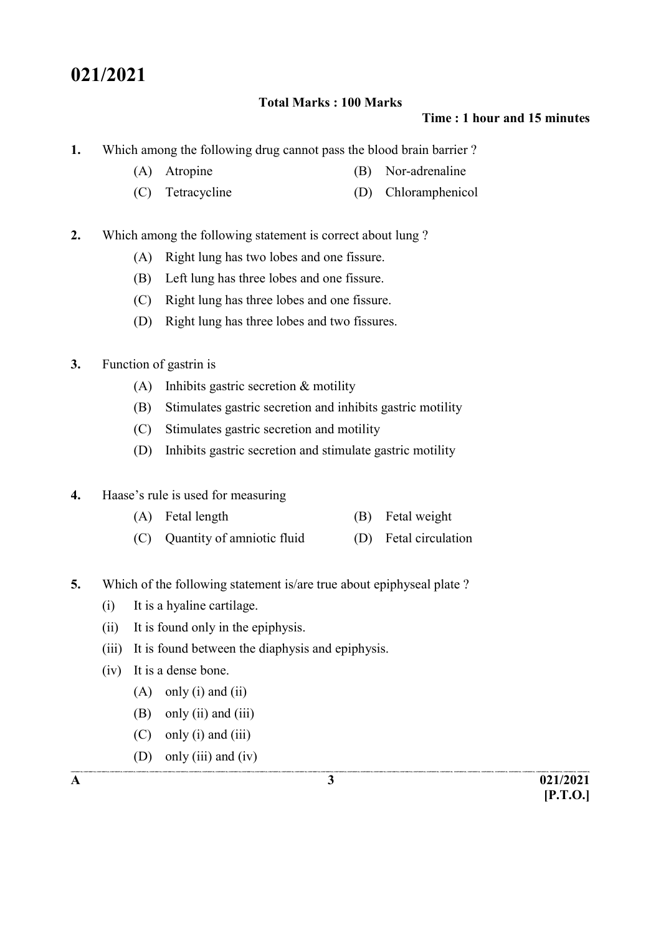# 021/2021

#### Total Marks : 100 Marks

#### Time : 1 hour and 15 minutes

- 1. Which among the following drug cannot pass the blood brain barrier ?
	- (A) Atropine (B) Nor-adrenaline
	- (C) Tetracycline (D) Chloramphenicol
- 2. Which among the following statement is correct about lung ?
	- (A) Right lung has two lobes and one fissure.
	- (B) Left lung has three lobes and one fissure.
	- (C) Right lung has three lobes and one fissure.
	- (D) Right lung has three lobes and two fissures.
- 3. Function of gastrin is
	- (A) Inhibits gastric secretion & motility
	- (B) Stimulates gastric secretion and inhibits gastric motility
	- (C) Stimulates gastric secretion and motility
	- (D) Inhibits gastric secretion and stimulate gastric motility
- 4. Haase's rule is used for measuring
	- (A) Fetal length (B) Fetal weight
	- (C) Quantity of amniotic fluid (D) Fetal circulation
- 5. Which of the following statement is/are true about epiphyseal plate ?
	- (i) It is a hyaline cartilage.
	- (ii) It is found only in the epiphysis.
	- (iii) It is found between the diaphysis and epiphysis.
	- (iv) It is a dense bone.
		- (A) only (i) and (ii)
		- (B) only (ii) and (iii)
		- $(C)$  only (i) and (iii)
		- (D) only (iii) and (iv)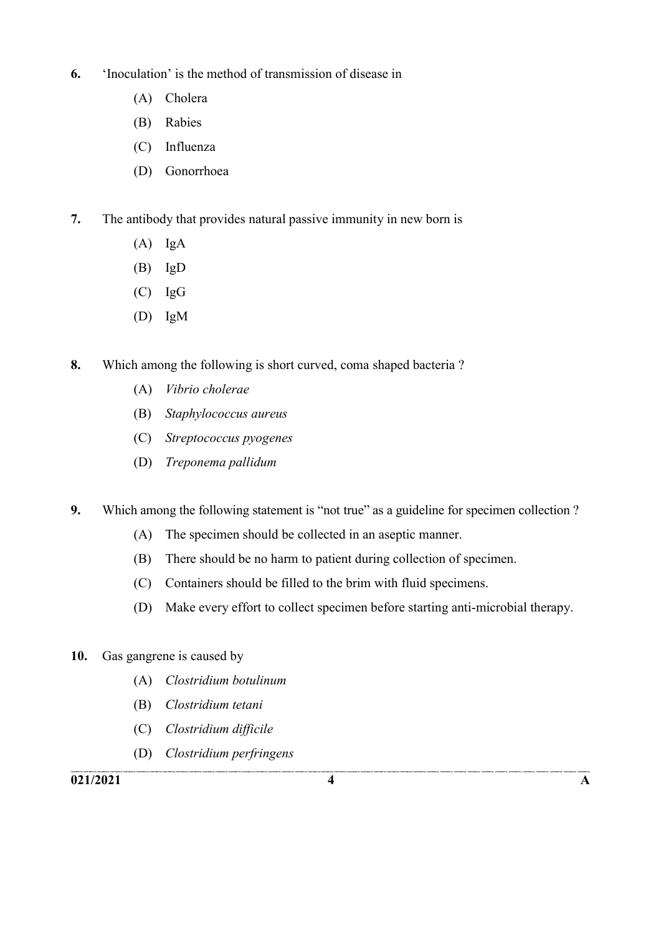- 6. 'Inoculation' is the method of transmission of disease in
	- (A) Cholera
	- (B) Rabies
	- (C) Influenza
	- (D) Gonorrhoea
- 7. The antibody that provides natural passive immunity in new born is
	- (A) IgA
	- (B) IgD
	- (C) IgG
	- (D) IgM
- 8. Which among the following is short curved, coma shaped bacteria ?
	- (A) Vibrio cholerae
	- (B) Staphylococcus aureus
	- (C) Streptococcus pyogenes
	- (D) Treponema pallidum

9. Which among the following statement is "not true" as a guideline for specimen collection ?

- (A) The specimen should be collected in an aseptic manner.
- (B) There should be no harm to patient during collection of specimen.
- (C) Containers should be filled to the brim with fluid specimens.
- (D) Make every effort to collect specimen before starting anti-microbial therapy.

#### 10. Gas gangrene is caused by

- (A) Clostridium botulinum
- (B) Clostridium tetani
- (C) Clostridium difficile
- (D) Clostridium perfringens

 $021/2021$  A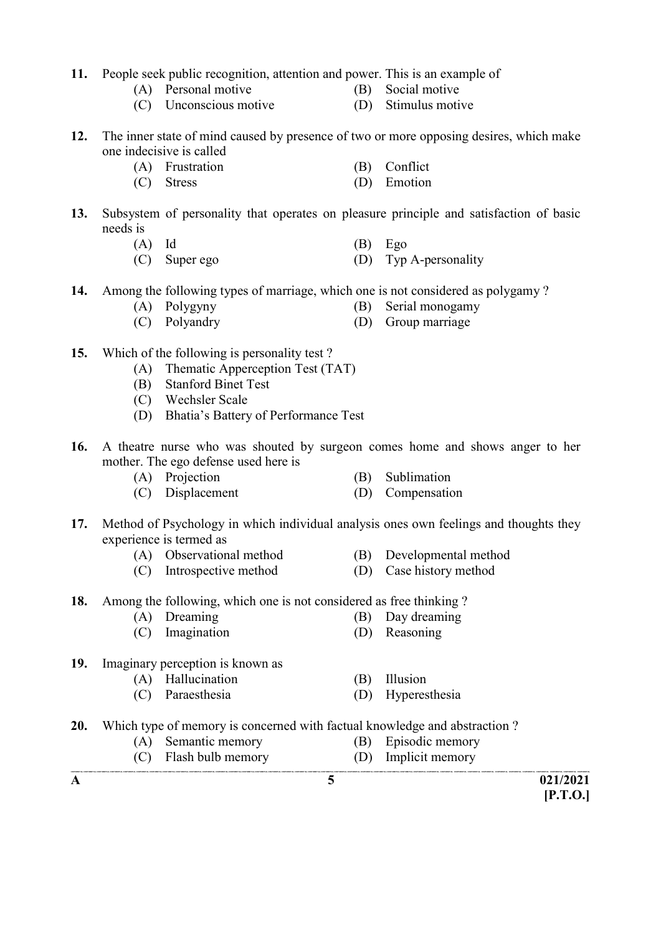11. People seek public recognition, attention and power. This is an example of

- (A) Personal motive (B) Social motive
- (C) Unconscious motive (D) Stimulus motive
- 12. The inner state of mind caused by presence of two or more opposing desires, which make one indecisive is called
	- (A) Frustration (B) Conflict
	- (C) Stress (D) Emotion
- 13. Subsystem of personality that operates on pleasure principle and satisfaction of basic needs is
	- $(A)$  Id  $(B)$  Ego
	- (C) Super ego (D) Typ A-personality
- 14. Among the following types of marriage, which one is not considered as polygamy ?
	- (A) Polygyny (B) Serial monogamy
	- (C) Polyandry (D) Group marriage
- 
- 15. Which of the following is personality test ?
	- (A) Thematic Apperception Test (TAT)
	- (B) Stanford Binet Test
	- (C) Wechsler Scale
	- (D) Bhatia's Battery of Performance Test
- 16. A theatre nurse who was shouted by surgeon comes home and shows anger to her mother. The ego defense used here is
	-
	- (A) Projection (B) Sublimation
	- (C) Displacement (D) Compensation
- 17. Method of Psychology in which individual analysis ones own feelings and thoughts they experience is termed as
	- (A) Observational method (B) Developmental method
		-
	- (C) Introspective method (D) Case history method
- -
- 18. Among the following, which one is not considered as free thinking ?
	- (A) Dreaming (B) Day dreaming
	- (C) Imagination (D) Reasoning
- 19. Imaginary perception is known as
	- (A) Hallucination (B) Illusion
	- (C) Paraesthesia (D) Hyperesthesia
- -
- 20. Which type of memory is concerned with factual knowledge and abstraction ?
	- (A) Semantic memory (B) Episodic memory

(C) Flash bulb memory (D) Implicit memory

- 
- A  $\qquad \qquad 5 \qquad \qquad 021/2021$  $[P.T.O.]$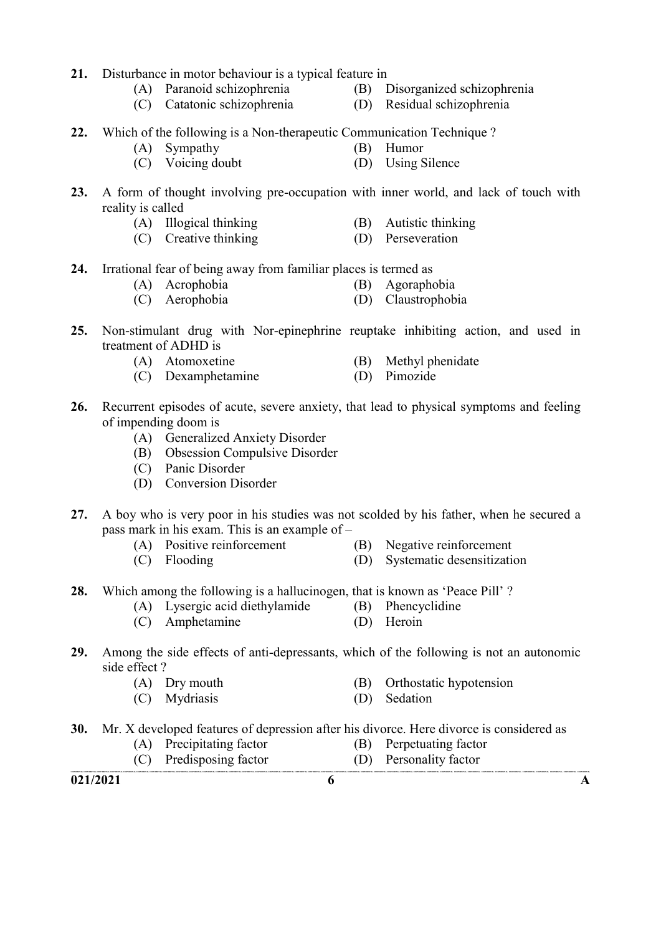- 21. Disturbance in motor behaviour is a typical feature in
	- (A) Paranoid schizophrenia (B) Disorganized schizophrenia
	- (C) Catatonic schizophrenia (D) Residual schizophrenia
- 
- 22. Which of the following is a Non-therapeutic Communication Technique ?
	- (A) Sympathy (B) Humor
	- (C) Voicing doubt (D) Using Silence
- 23. A form of thought involving pre-occupation with inner world, and lack of touch with reality is called
	- (A) Illogical thinking (B) Autistic thinking
	- (C) Creative thinking (D) Perseveration
- 24. Irrational fear of being away from familiar places is termed as
	- (A) Acrophobia (B) Agoraphobia
	- (C) Aerophobia (D) Claustrophobia
- 25. Non-stimulant drug with Nor-epinephrine reuptake inhibiting action, and used in treatment of ADHD is
	- (A) Atomoxetine (B) Methyl phenidate
	- (C) Dexamphetamine (D) Pimozide
- 26. Recurrent episodes of acute, severe anxiety, that lead to physical symptoms and feeling of impending doom is
	- (A) Generalized Anxiety Disorder
	- (B) Obsession Compulsive Disorder
	- (C) Panic Disorder
	- (D) Conversion Disorder
- 27. A boy who is very poor in his studies was not scolded by his father, when he secured a pass mark in his exam. This is an example of –
	- (A) Positive reinforcement (B) Negative reinforcement
- - (C) Flooding (D) Systematic desensitization
- -
- 28. Which among the following is a hallucinogen, that is known as 'Peace Pill' ?
	- (A) Lysergic acid diethylamide (B) Phencyclidine
	- (C) Amphetamine (D) Heroin
- 29. Among the side effects of anti-depressants, which of the following is not an autonomic side effect ?
	- (A) Dry mouth (B) Orthostatic hypotension
	- (C) Mydriasis (D) Sedation
- 30. Mr. X developed features of depression after his divorce. Here divorce is considered as (A) Precipitating factor (B) Perpetuating factor (C) Predisposing factor (D) Personality factor

 $021/2021$  6 A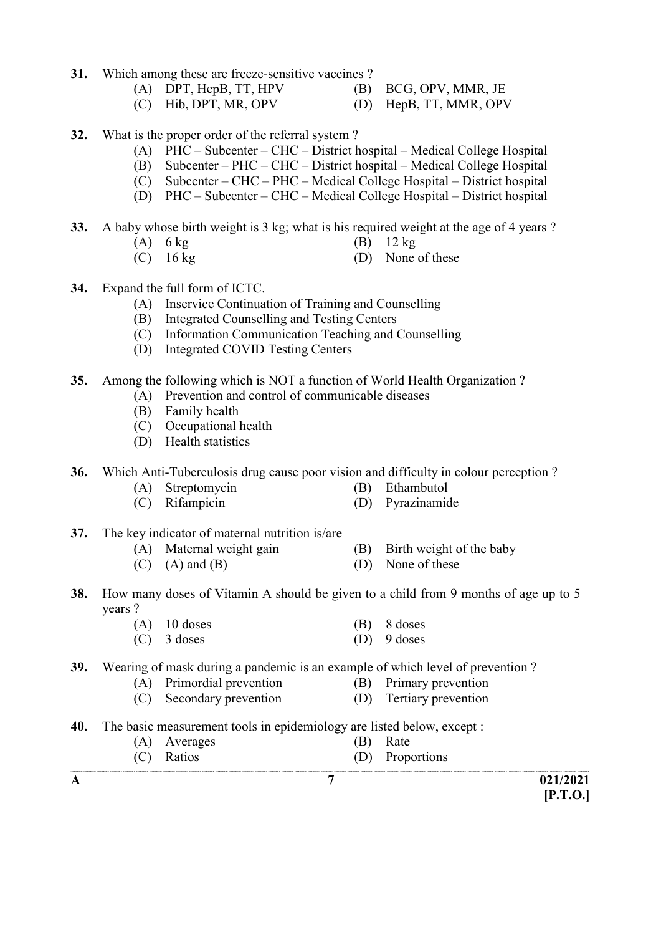- 31. Which among these are freeze-sensitive vaccines ?
	- (A) DPT, HepB, TT, HPV (B) BCG, OPV, MMR, JE
	- (C) Hib, DPT, MR, OPV (D) HepB, TT, MMR, OPV
- 32. What is the proper order of the referral system ?
	- (A) PHC Subcenter CHC District hospital Medical College Hospital
	- (B) Subcenter PHC CHC District hospital Medical College Hospital
	- (C) Subcenter CHC PHC Medical College Hospital District hospital
	- (D) PHC Subcenter CHC Medical College Hospital District hospital
- 33. A baby whose birth weight is 3 kg; what is his required weight at the age of 4 years ?
	- (A)  $6 \text{ kg}$  (B)  $12 \text{ kg}$
- - (C) 16 kg (D) None of these
- 34. Expand the full form of ICTC.
	- (A) Inservice Continuation of Training and Counselling
	- (B) Integrated Counselling and Testing Centers
	- (C) Information Communication Teaching and Counselling
	- (D) Integrated COVID Testing Centers
- 35. Among the following which is NOT a function of World Health Organization ?
	- (A) Prevention and control of communicable diseases
	- (B) Family health
	- (C) Occupational health
	- (D) Health statistics

36. Which Anti-Tuberculosis drug cause poor vision and difficulty in colour perception ?

- (A) Streptomycin (B) Ethambutol
- (C) Rifampicin (D) Pyrazinamide
- 37. The key indicator of maternal nutrition is/are
	- (A) Maternal weight gain (B) Birth weight of the baby
		-
	- $(C)$  (A) and (B) (D) None of these
- 38. How many doses of Vitamin A should be given to a child from 9 months of age up to 5 years ?
	- (A) 10 doses (B) 8 doses
	- (C) 3 doses (D) 9 doses

39. Wearing of mask during a pandemic is an example of which level of prevention ?

- (A) Primordial prevention (B) Primary prevention
- (C) Secondary prevention (D) Tertiary prevention
- 40. The basic measurement tools in epidemiology are listed below, except :
	- (A) Averages (B) Rate (C) Ratios (D) Proportions
- 

A  $\overline{7}$  021/2021  $[P.T.O.]$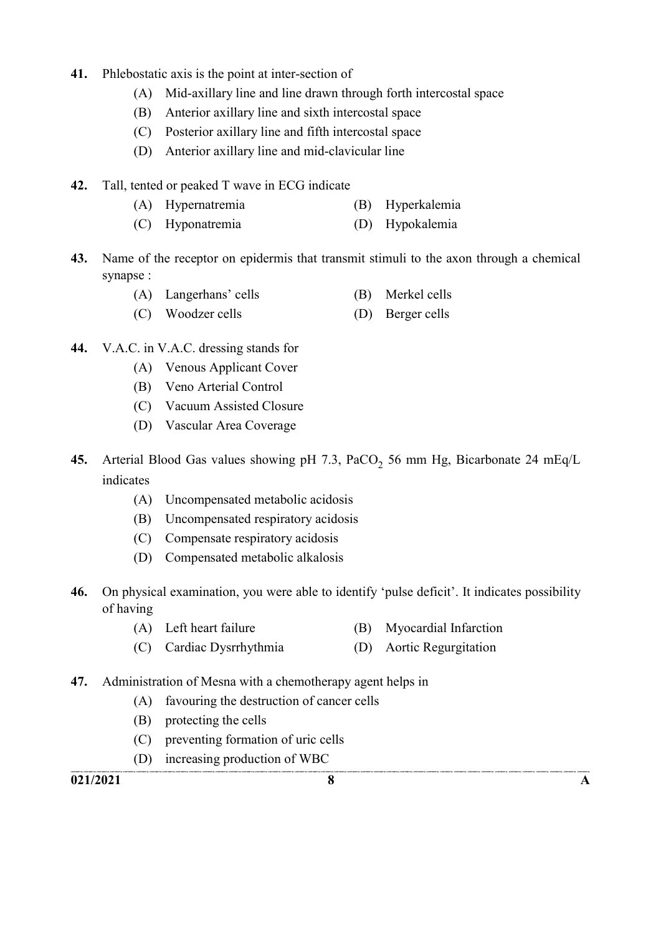- 41. Phlebostatic axis is the point at inter-section of
	- (A) Mid-axillary line and line drawn through forth intercostal space
	- (B) Anterior axillary line and sixth intercostal space
	- (C) Posterior axillary line and fifth intercostal space
	- (D) Anterior axillary line and mid-clavicular line
- 42. Tall, tented or peaked T wave in ECG indicate
	- (A) Hypernatremia (B) Hyperkalemia
	- (C) Hyponatremia (D) Hypokalemia
- 43. Name of the receptor on epidermis that transmit stimuli to the axon through a chemical synapse :

| (A) Langerhans' cells |  | (B) Merkel cells |
|-----------------------|--|------------------|
|                       |  |                  |

- (C) Woodzer cells (D) Berger cells
- 44. V.A.C. in V.A.C. dressing stands for
	- (A) Venous Applicant Cover
	- (B) Veno Arterial Control
	- (C) Vacuum Assisted Closure
	- (D) Vascular Area Coverage
- **45.** Arterial Blood Gas values showing pH 7.3,  $PaCO_2$  56 mm Hg, Bicarbonate 24 mEq/L indicates
	- (A) Uncompensated metabolic acidosis
	- (B) Uncompensated respiratory acidosis
	- (C) Compensate respiratory acidosis
	- (D) Compensated metabolic alkalosis
- 46. On physical examination, you were able to identify 'pulse deficit'. It indicates possibility of having
	- (A) Left heart failure (B) Myocardial Infarction
	- (C) Cardiac Dysrrhythmia (D) Aortic Regurgitation
- 47. Administration of Mesna with a chemotherapy agent helps in
	- (A) favouring the destruction of cancer cells
	- (B) protecting the cells
	- (C) preventing formation of uric cells
	- (D) increasing production of WBC

 $021/2021$  and  $8$  and  $4$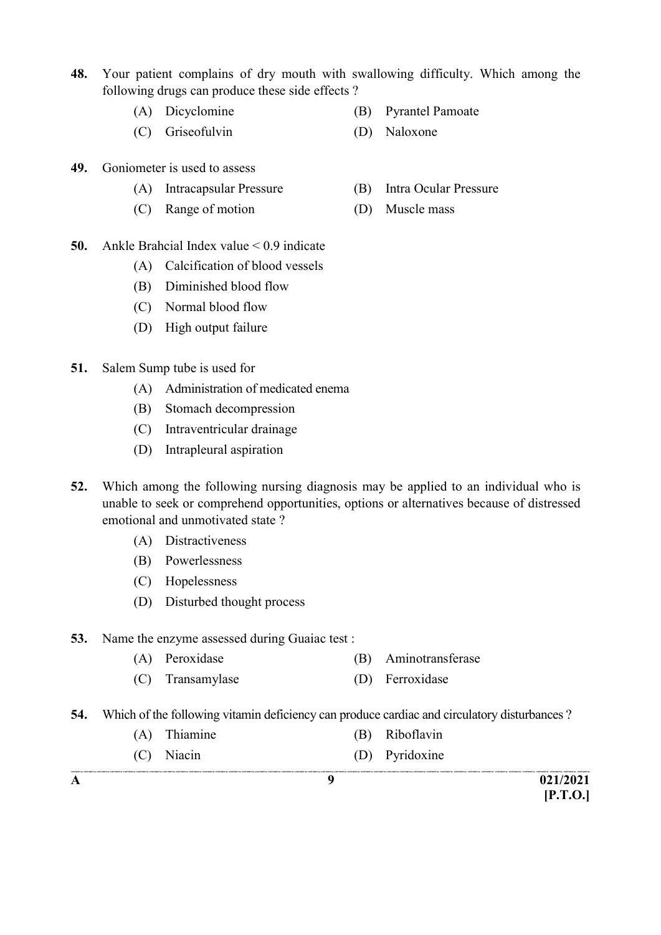- 48. Your patient complains of dry mouth with swallowing difficulty. Which among the following drugs can produce these side effects ?
	-
	-
	- (A) Dicyclomine (B) Pyrantel Pamoate
	- (C) Griseofulvin (D) Naloxone
- 49. Goniometer is used to assess
	- (A) Intracapsular Pressure (B) Intra Ocular Pressure
	- (C) Range of motion (D) Muscle mass
- 50. Ankle Brahcial Index value  $\leq 0.9$  indicate
	- (A) Calcification of blood vessels
	- (B) Diminished blood flow
	- (C) Normal blood flow
	- (D) High output failure
- 51. Salem Sump tube is used for
	- (A) Administration of medicated enema
	- (B) Stomach decompression
	- (C) Intraventricular drainage
	- (D) Intrapleural aspiration
- 52. Which among the following nursing diagnosis may be applied to an individual who is unable to seek or comprehend opportunities, options or alternatives because of distressed emotional and unmotivated state ?
	- (A) Distractiveness
	- (B) Powerlessness
	- (C) Hopelessness
	- (D) Disturbed thought process
- 53. Name the enzyme assessed during Guaiac test :
	- (A) Peroxidase (B) Aminotransferase
		- (C) Transamylase (D) Ferroxidase
- 54. Which of the following vitamin deficiency can produce cardiac and circulatory disturbances ?

|   | (A) | Thiamine     |   | (B) Riboflavin                                                                          |
|---|-----|--------------|---|-----------------------------------------------------------------------------------------|
|   |     | $(C)$ Niacin |   | (D) Pyridoxine                                                                          |
| A |     |              | Q | CONFIDENTIAL CONFIDENTIAL CONFIDENTIAL CONFIDENTIAL CONFIDENTIAL CONFIDENTI<br>021/2021 |
|   |     |              |   | [P.T.O.]                                                                                |

- 
-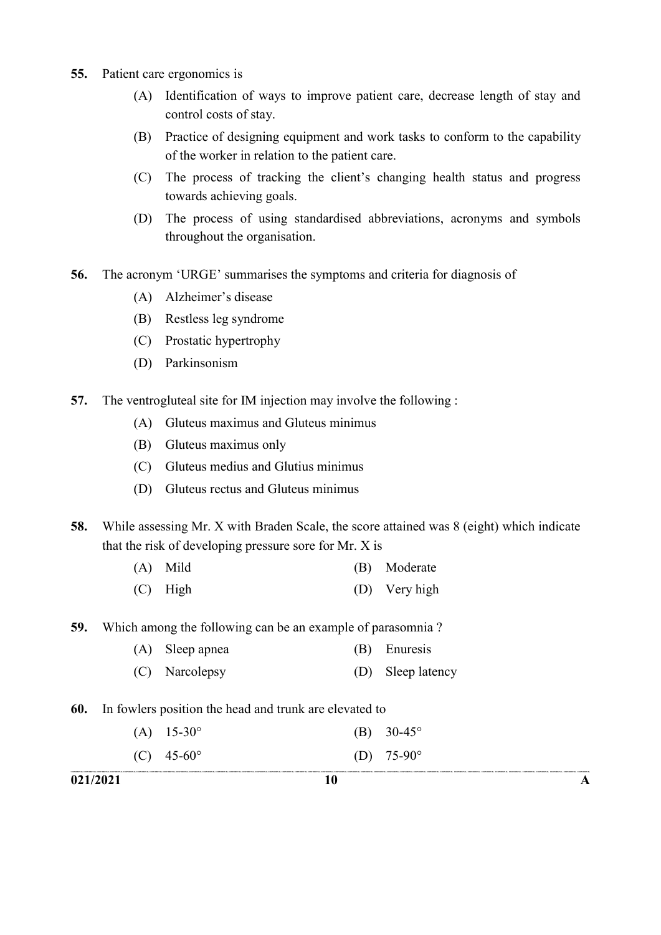- 55. Patient care ergonomics is
	- (A) Identification of ways to improve patient care, decrease length of stay and control costs of stay.
	- (B) Practice of designing equipment and work tasks to conform to the capability of the worker in relation to the patient care.
	- (C) The process of tracking the client's changing health status and progress towards achieving goals.
	- (D) The process of using standardised abbreviations, acronyms and symbols throughout the organisation.
- 56. The acronym 'URGE' summarises the symptoms and criteria for diagnosis of
	- (A) Alzheimer's disease
	- (B) Restless leg syndrome
	- (C) Prostatic hypertrophy
	- (D) Parkinsonism
- 57. The ventrogluteal site for IM injection may involve the following :
	- (A) Gluteus maximus and Gluteus minimus
	- (B) Gluteus maximus only
	- (C) Gluteus medius and Glutius minimus
	- (D) Gluteus rectus and Gluteus minimus
- 58. While assessing Mr. X with Braden Scale, the score attained was 8 (eight) which indicate that the risk of developing pressure sore for Mr. X is
	- (A) Mild (B) Moderate (C) High (D) Very high
- 59. Which among the following can be an example of parasomnia ?
	- (A) Sleep apnea (B) Enuresis (C) Narcolepsy (D) Sleep latency
- 60. In fowlers position the head and trunk are elevated to
	- (A)  $15-30^{\circ}$  (B)  $30-45^{\circ}$
	- (C)  $45-60^{\circ}$  (D)  $75-90^{\circ}$

 $021/2021$  A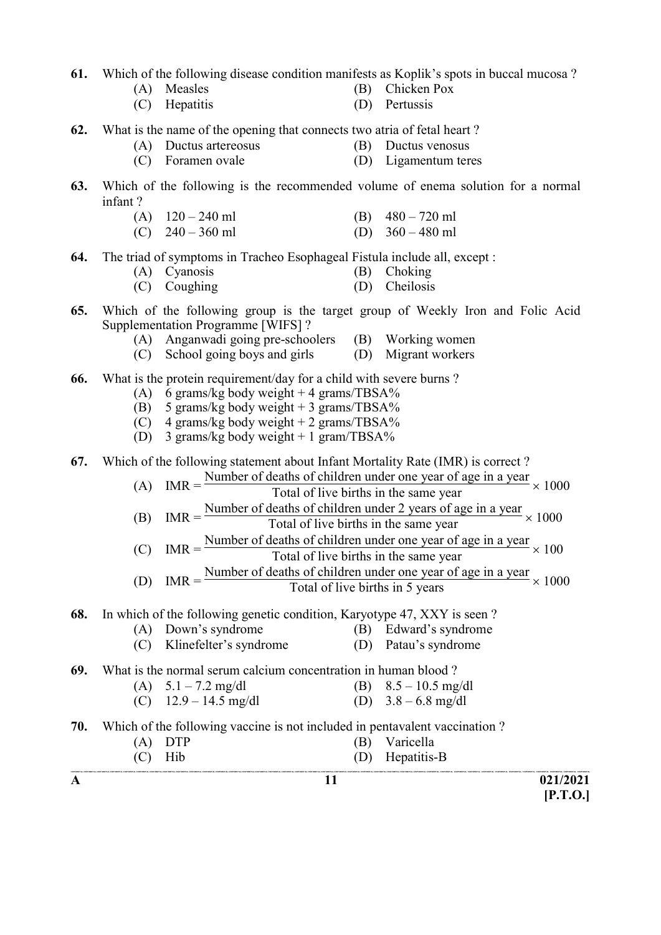| 62. | What is the name of the opening that connects two atria of fetal heart?        |                                                                                                                                                                                                                                                     |     |                          |                         |
|-----|--------------------------------------------------------------------------------|-----------------------------------------------------------------------------------------------------------------------------------------------------------------------------------------------------------------------------------------------------|-----|--------------------------|-------------------------|
|     | (A)                                                                            | Ductus artereosus                                                                                                                                                                                                                                   |     | (B) Ductus venosus       |                         |
|     | (C)                                                                            | Foramen ovale                                                                                                                                                                                                                                       |     | (D) Ligamentum teres     |                         |
| 63. | infant?                                                                        | Which of the following is the recommended volume of enema solution for a normal                                                                                                                                                                     |     |                          |                         |
|     |                                                                                | $(A)$ 120 – 240 ml                                                                                                                                                                                                                                  |     | (B) $480 - 720$ ml       |                         |
|     | (C)                                                                            | $240 - 360$ ml                                                                                                                                                                                                                                      |     | (D) $360 - 480$ ml       |                         |
| 64. |                                                                                | The triad of symptoms in Tracheo Esophageal Fistula include all, except :                                                                                                                                                                           |     |                          |                         |
|     | (C)                                                                            | (A) Cyanosis<br>Coughing                                                                                                                                                                                                                            | (D) | (B) Choking<br>Cheilosis |                         |
| 65. |                                                                                | Which of the following group is the target group of Weekly Iron and Folic Acid<br>Supplementation Programme [WIFS]?                                                                                                                                 |     |                          |                         |
|     | (C)                                                                            | (A) Anganwadi going pre-schoolers (B) Working women<br>School going boys and girls                                                                                                                                                                  |     | (D) Migrant workers      |                         |
| 66. | (A)<br>(B)<br>(C) =                                                            | What is the protein requirement/day for a child with severe burns?<br>6 grams/kg body weight $+$ 4 grams/TBSA%<br>5 grams/kg body weight $+$ 3 grams/TBSA%<br>4 grams/kg body weight $+ 2$ grams/TBSA%<br>(D) 3 grams/kg body weight + 1 gram/TBSA% |     |                          |                         |
| 67. | Which of the following statement about Infant Mortality Rate (IMR) is correct? |                                                                                                                                                                                                                                                     |     |                          |                         |
|     | (A)                                                                            | $IMR = \frac{Number of deaths of children under one year of age in a year}{Total of lines birth time in the same year} \times 1000$<br>Total of live births in the same year                                                                        |     |                          |                         |
|     | (B)                                                                            | IMR = $\frac{\text{Number of deaths of children under 2 years of age in a year}}{\text{Total of live births in the same year}} \times 1000$                                                                                                         |     |                          |                         |
|     | (C)                                                                            | IMR = $\frac{\text{Number of deaths of children under one year of age in a year}}{\text{Total of live births in the same year}} \times 100$                                                                                                         |     |                          |                         |
|     | (D)                                                                            | $IMR = \frac{Number of deaths of children under one year of age in a year}{Total of lines in 5 years} \times 1000$<br>Total of live births in 5 years                                                                                               |     |                          |                         |
| 68. |                                                                                | In which of the following genetic condition, Karyotype 47, XXY is seen?                                                                                                                                                                             |     |                          |                         |
|     | (A)                                                                            | Down's syndrome                                                                                                                                                                                                                                     |     | (B) Edward's syndrome    |                         |
|     | (C)                                                                            | Klinefelter's syndrome                                                                                                                                                                                                                              | (D) | Patau's syndrome         |                         |
| 69. |                                                                                | What is the normal serum calcium concentration in human blood?                                                                                                                                                                                      |     |                          |                         |
|     | (A)                                                                            | $5.1 - 7.2$ mg/dl                                                                                                                                                                                                                                   |     | (B) $8.5 - 10.5$ mg/dl   |                         |
|     | (C)                                                                            | $12.9 - 14.5$ mg/dl                                                                                                                                                                                                                                 | (D) | $3.8 - 6.8$ mg/dl        |                         |
| 70. |                                                                                | Which of the following vaccine is not included in pentavalent vaccination?                                                                                                                                                                          |     |                          |                         |
|     | (A)                                                                            | <b>DTP</b>                                                                                                                                                                                                                                          | (B) | Varicella                |                         |
|     | (C)                                                                            | Hib                                                                                                                                                                                                                                                 |     | (D) Hepatitis-B          |                         |
| A   |                                                                                | 11                                                                                                                                                                                                                                                  |     |                          | 021/2021<br>$[$ P.T.O.] |
|     |                                                                                |                                                                                                                                                                                                                                                     |     |                          |                         |

61. Which of the following disease condition manifests as Koplik's spots in buccal mucosa ?<br>(A) Measles (B) Chicken Pox

 $(C)$  Hepatitis

(B) Chicken Pox<br>
(D) Pertussis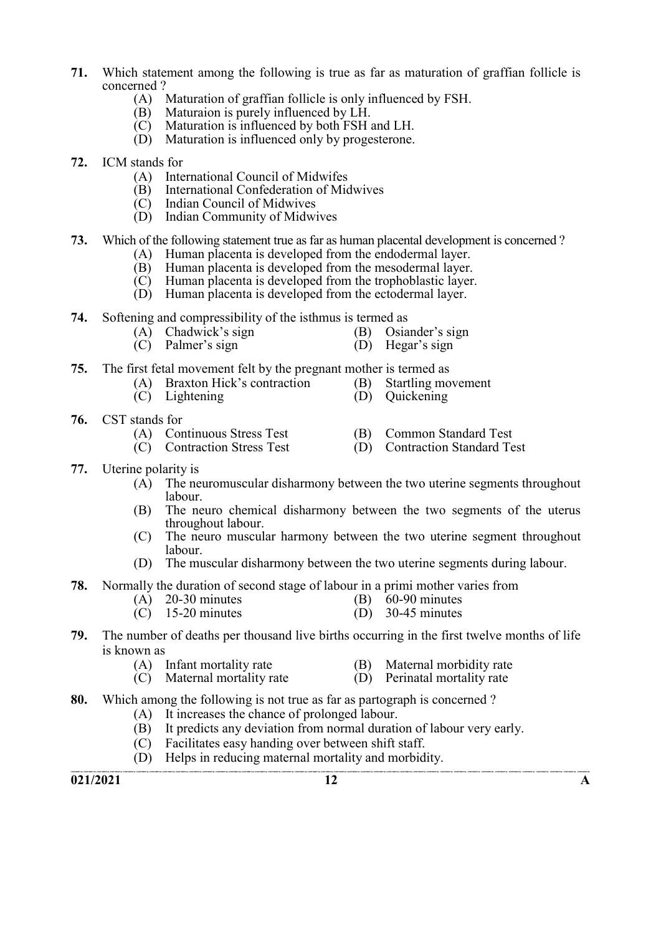- 71. Which statement among the following is true as far as maturation of graffian follicle is concerned ?
	- (A) Maturation of graffian follicle is only influenced by FSH.
	- (B) Maturaion is purely influenced by LH.
	- (C) Maturation is influenced by both FSH and LH.
	- (D) Maturation is influenced only by progesterone.
- 72. ICM stands for
	- (A) International Council of Midwifes
	- (B) International Confederation of Midwives<br>(C) Indian Council of Midwives
	- Indian Council of Midwives
	- (D) Indian Community of Midwives
- 73. Which of the following statement true as far as human placental development is concerned ?
	- (A) Human placenta is developed from the endodermal layer.
	- (B) Human placenta is developed from the mesodermal layer.
	- (C) Human placenta is developed from the trophoblastic layer.
	- (D) Human placenta is developed from the ectodermal layer.
- 74. Softening and compressibility of the isthmus is termed as
	- (A) Chadwick's sign (B) Osiander's sign
	- (C) Palmer's sign (D) Hegar's sign
- 
- 75. The first fetal movement felt by the pregnant mother is termed as
	- (A) Braxton Hick's contraction (B) Startling movement (C) Lightening (D) Quickening
	-

 $(D)$  Quickening

- 76. CST stands for
	-
	-
	- (A) Continuous Stress Test (B) Common Standard Test<br>
	(C) Contraction Stress Test (D) Contraction Standard Te
		- $(D)$  Contraction Standard Test

- 77. Uterine polarity is
	- (A) The neuromuscular disharmony between the two uterine segments throughout labour.
	- (B) The neuro chemical disharmony between the two segments of the uterus throughout labour.
	- (C) The neuro muscular harmony between the two uterine segment throughout labour.
	- (D) The muscular disharmony between the two uterine segments during labour.
- 78. Normally the duration of second stage of labour in a primi mother varies from
	- (A) 20-30 minutes (B) 60-90 minutes (C) 15-20 minutes (D) 30-45 minutes
	- $(D)$  30-45 minutes
- 79. The number of deaths per thousand live births occurring in the first twelve months of life is known as
	-
	- (A) Infant mortality rate (B) Maternal morbidity rate<br>
	(C) Maternal mortality rate (D) Perinatal mortality rate
	- $\tilde{C}$  Maternal mortality rate
- 

#### 80. Which among the following is not true as far as partograph is concerned ?

- (A) It increases the chance of prolonged labour.
- (B) It predicts any deviation from normal duration of labour very early.
- (C) Facilitates easy handing over between shift staff.
- (D) Helps in reducing maternal mortality and morbidity.

 $021/2021$  and  $12$  and  $12$  and  $12$  and  $12$  and  $12$  and  $12$  and  $12$  and  $12$  and  $12$  and  $12$  and  $12$  and  $12$  and  $12$  and  $12$  and  $12$  and  $12$  and  $12$  and  $12$  and  $12$  and  $12$  and  $12$  and  $12$  and  $12$  and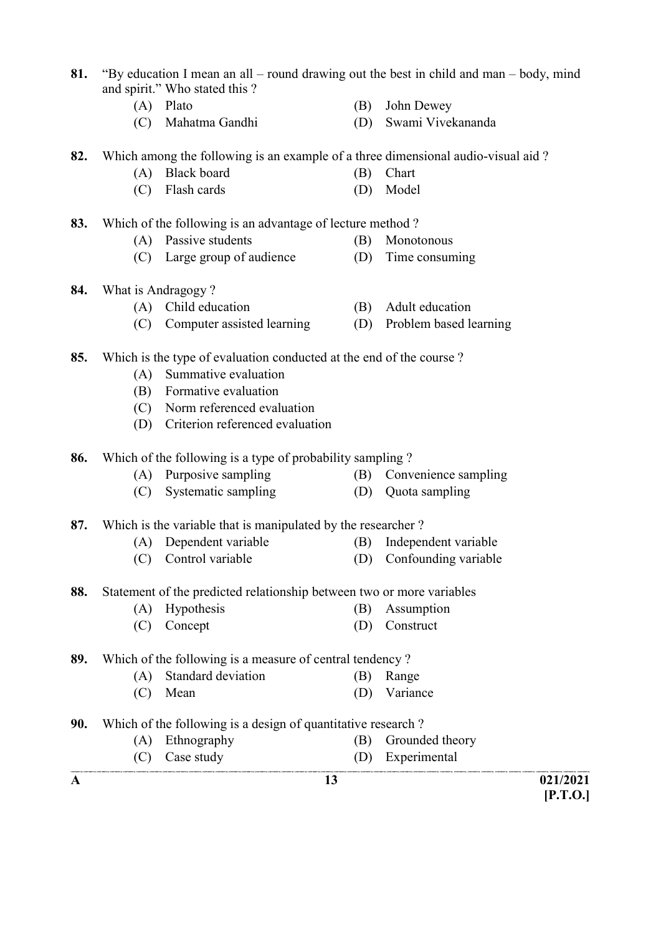- 81. "By education I mean an all round drawing out the best in child and man body, mind and spirit." Who stated this ?
	- (A) Plato (B) John Dewey

(C) Mahatma Gandhi (D) Swami Vivekananda

82. Which among the following is an example of a three dimensional audio-visual aid ?

- (A) Black board (B) Chart
- (C) Flash cards (D) Model

83. Which of the following is an advantage of lecture method ?

- (A) Passive students (B) Monotonous
- (C) Large group of audience (D) Time consuming

#### 84. What is Andragogy ?

- (A) Child education (B) Adult education
- (C) Computer assisted learning (D) Problem based learning

# 85. Which is the type of evaluation conducted at the end of the course ?

- (A) Summative evaluation
- (B) Formative evaluation
- (C) Norm referenced evaluation
- (D) Criterion referenced evaluation

86. Which of the following is a type of probability sampling ?

- (A) Purposive sampling (B) Convenience sampling
- (C) Systematic sampling (D) Quota sampling

## 87. Which is the variable that is manipulated by the researcher ?

- (A) Dependent variable (B) Independent variable
- (C) Control variable (D) Confounding variable
- 88. Statement of the predicted relationship between two or more variables
	- (A) Hypothesis (B) Assumption
	- (C) Concept (D) Construct

89. Which of the following is a measure of central tendency ?

- (A) Standard deviation (B) Range (C) Mean (D) Variance
- 
- 90. Which of the following is a design of quantitative research ?
	- (A) Ethnography (B) Grounded theory (C) Case study (D) Experimental
- 
- 
- 
- 
- 
- 
- 
- 
- 
-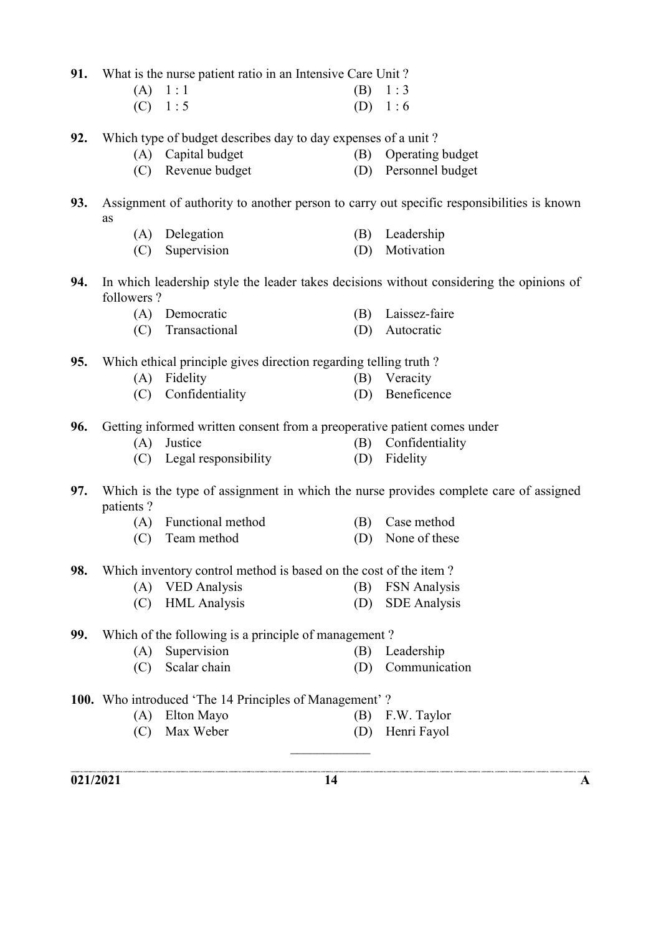| 021/2021 |                                                                                           |                                                                          | 14         | A                                                                                        |  |
|----------|-------------------------------------------------------------------------------------------|--------------------------------------------------------------------------|------------|------------------------------------------------------------------------------------------|--|
|          | (C)                                                                                       | Max Weber                                                                | (D)        | Henri Fayol                                                                              |  |
|          | (A)                                                                                       | Elton Mayo                                                               | (B)        | F.W. Taylor                                                                              |  |
|          | 100. Who introduced 'The 14 Principles of Management'?                                    |                                                                          |            |                                                                                          |  |
|          | (C)                                                                                       | Scalar chain                                                             | (D)        | Communication                                                                            |  |
|          | (A)                                                                                       | Supervision                                                              | (B)        | Leadership                                                                               |  |
| 99.      | Which of the following is a principle of management?                                      |                                                                          |            |                                                                                          |  |
|          | (C)                                                                                       | <b>HML</b> Analysis                                                      | (D)        | <b>SDE</b> Analysis                                                                      |  |
|          | (A)                                                                                       | <b>VED</b> Analysis                                                      | (B)        | FSN Analysis                                                                             |  |
| 98.      |                                                                                           | Which inventory control method is based on the cost of the item?         |            |                                                                                          |  |
|          |                                                                                           |                                                                          |            |                                                                                          |  |
|          | (C)                                                                                       | Team method                                                              | (D)        | None of these                                                                            |  |
|          | patients?<br>(A)                                                                          | Functional method                                                        | (B)        | Case method                                                                              |  |
| 97.      |                                                                                           |                                                                          |            | Which is the type of assignment in which the nurse provides complete care of assigned    |  |
|          |                                                                                           | (C) Legal responsibility                                                 |            | (D) Fidelity                                                                             |  |
|          | (A)                                                                                       | Justice                                                                  | (B)        | Confidentiality                                                                          |  |
| 96.      |                                                                                           | Getting informed written consent from a preoperative patient comes under |            |                                                                                          |  |
|          |                                                                                           |                                                                          |            |                                                                                          |  |
|          | (C)                                                                                       | (A) Fidelity<br>Confidentiality                                          | (B)<br>(D) | Veracity<br>Beneficence                                                                  |  |
| 95.      |                                                                                           | Which ethical principle gives direction regarding telling truth?         |            |                                                                                          |  |
|          |                                                                                           |                                                                          |            |                                                                                          |  |
|          | (C)                                                                                       | Transactional                                                            | (D)        | Autocratic                                                                               |  |
|          | (A)                                                                                       | Democratic                                                               | (B)        | Laissez-faire                                                                            |  |
| 94.      | followers?                                                                                |                                                                          |            | In which leadership style the leader takes decisions without considering the opinions of |  |
|          |                                                                                           |                                                                          |            |                                                                                          |  |
|          | (A)<br>(C)                                                                                | Supervision                                                              | (B)<br>(D) | Leadership<br>Motivation                                                                 |  |
|          | as                                                                                        | Delegation                                                               |            |                                                                                          |  |
| 93.      | Assignment of authority to another person to carry out specific responsibilities is known |                                                                          |            |                                                                                          |  |
|          |                                                                                           | (C) Revenue budget                                                       |            | (D) Personnel budget                                                                     |  |
|          | (A)                                                                                       | Capital budget                                                           | (B)        | Operating budget                                                                         |  |
| 92.      | Which type of budget describes day to day expenses of a unit?                             |                                                                          |            |                                                                                          |  |
|          |                                                                                           | $(C) \quad 1:5$                                                          |            | (D) 1:6                                                                                  |  |
|          |                                                                                           | (A) 1:1                                                                  | (B)        | 1:3                                                                                      |  |
| 91.      |                                                                                           | What is the nurse patient ratio in an Intensive Care Unit?               |            |                                                                                          |  |
|          |                                                                                           |                                                                          |            |                                                                                          |  |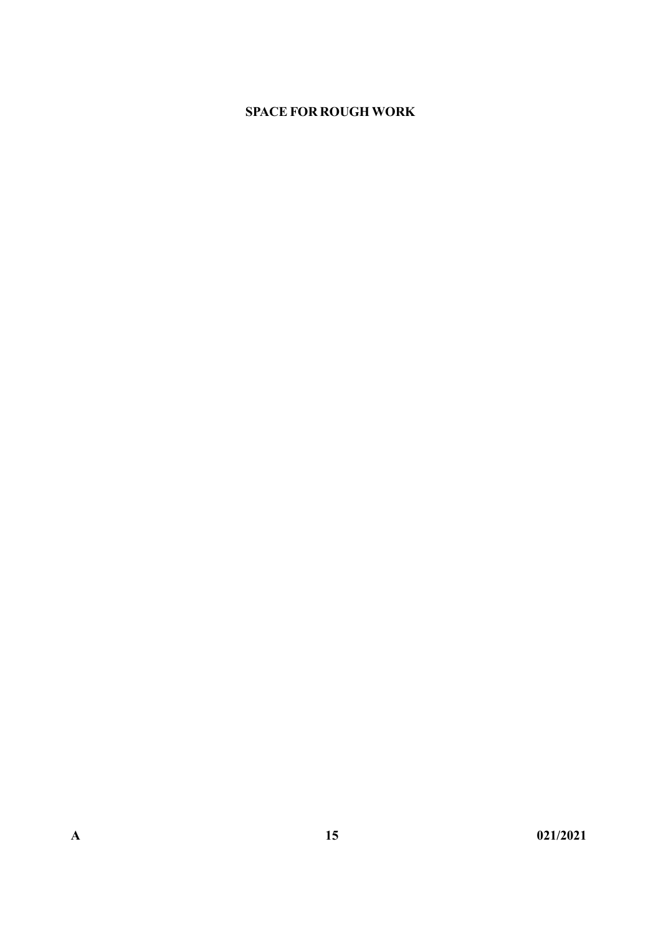# SPACE FOR ROUGH WORK